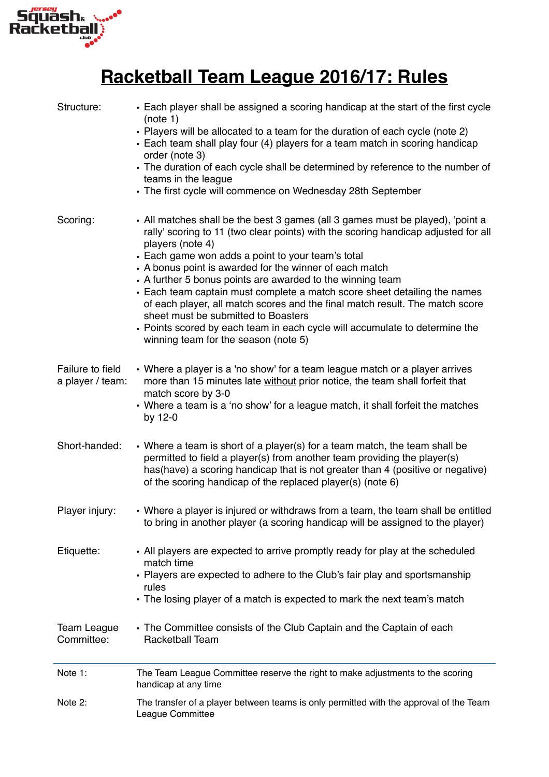

## **Racketball Team League 2016/17: Rules**

| Structure:                           | • Each player shall be assigned a scoring handicap at the start of the first cycle<br>(note 1)<br>• Players will be allocated to a team for the duration of each cycle (note 2)<br>• Each team shall play four (4) players for a team match in scoring handicap<br>order (note 3)<br>• The duration of each cycle shall be determined by reference to the number of<br>teams in the league<br>• The first cycle will commence on Wednesday 28th September                                                                                                                                                                                                                                         |
|--------------------------------------|---------------------------------------------------------------------------------------------------------------------------------------------------------------------------------------------------------------------------------------------------------------------------------------------------------------------------------------------------------------------------------------------------------------------------------------------------------------------------------------------------------------------------------------------------------------------------------------------------------------------------------------------------------------------------------------------------|
| Scoring:                             | • All matches shall be the best 3 games (all 3 games must be played), 'point a<br>rally' scoring to 11 (two clear points) with the scoring handicap adjusted for all<br>players (note 4)<br>• Each game won adds a point to your team's total<br>• A bonus point is awarded for the winner of each match<br>• A further 5 bonus points are awarded to the winning team<br>• Each team captain must complete a match score sheet detailing the names<br>of each player, all match scores and the final match result. The match score<br>sheet must be submitted to Boasters<br>• Points scored by each team in each cycle will accumulate to determine the<br>winning team for the season (note 5) |
| Failure to field<br>a player / team: | • Where a player is a 'no show' for a team league match or a player arrives<br>more than 15 minutes late without prior notice, the team shall forfeit that<br>match score by 3-0<br>• Where a team is a 'no show' for a league match, it shall forfeit the matches<br>by 12-0                                                                                                                                                                                                                                                                                                                                                                                                                     |
| Short-handed:                        | • Where a team is short of a player(s) for a team match, the team shall be<br>permitted to field a player(s) from another team providing the player(s)<br>has(have) a scoring handicap that is not greater than 4 (positive or negative)<br>of the scoring handicap of the replaced player(s) (note 6)                                                                                                                                                                                                                                                                                                                                                                                            |
| Player injury:                       | • Where a player is injured or withdraws from a team, the team shall be entitled<br>to bring in another player (a scoring handicap will be assigned to the player)                                                                                                                                                                                                                                                                                                                                                                                                                                                                                                                                |
| Etiquette:                           | • All players are expected to arrive promptly ready for play at the scheduled<br>match time<br>• Players are expected to adhere to the Club's fair play and sportsmanship<br>rules<br>• The losing player of a match is expected to mark the next team's match                                                                                                                                                                                                                                                                                                                                                                                                                                    |
| <b>Team League</b><br>Committee:     | • The Committee consists of the Club Captain and the Captain of each<br><b>Racketball Team</b>                                                                                                                                                                                                                                                                                                                                                                                                                                                                                                                                                                                                    |
| Note 1:                              | The Team League Committee reserve the right to make adjustments to the scoring<br>handicap at any time                                                                                                                                                                                                                                                                                                                                                                                                                                                                                                                                                                                            |
| Note 2:                              | The transfer of a player between teams is only permitted with the approval of the Team<br>League Committee                                                                                                                                                                                                                                                                                                                                                                                                                                                                                                                                                                                        |